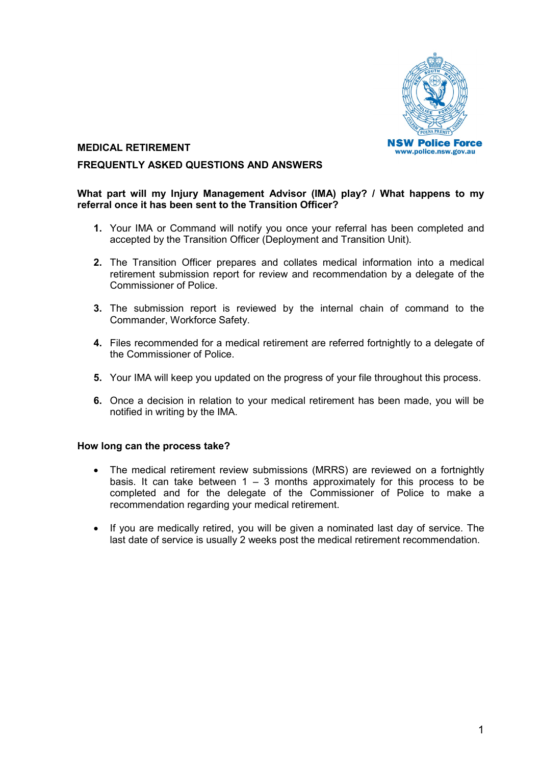

# **MEDICAL RETIREMENT**

## **FREQUENTLY ASKED QUESTIONS AND ANSWERS**

### **What part will my Injury Management Advisor (IMA) play? / What happens to my referral once it has been sent to the Transition Officer?**

- **1.** Your IMA or Command will notify you once your referral has been completed and accepted by the Transition Officer (Deployment and Transition Unit).
- **2.** The Transition Officer prepares and collates medical information into a medical retirement submission report for review and recommendation by a delegate of the Commissioner of Police.
- **3.** The submission report is reviewed by the internal chain of command to the Commander, Workforce Safety.
- **4.** Files recommended for a medical retirement are referred fortnightly to a delegate of the Commissioner of Police.
- **5.** Your IMA will keep you updated on the progress of your file throughout this process.
- **6.** Once a decision in relation to your medical retirement has been made, you will be notified in writing by the IMA.

#### **How long can the process take?**

- The medical retirement review submissions (MRRS) are reviewed on a fortnightly basis. It can take between  $1 - 3$  months approximately for this process to be completed and for the delegate of the Commissioner of Police to make a recommendation regarding your medical retirement.
- If you are medically retired, you will be given a nominated last day of service. The last date of service is usually 2 weeks post the medical retirement recommendation.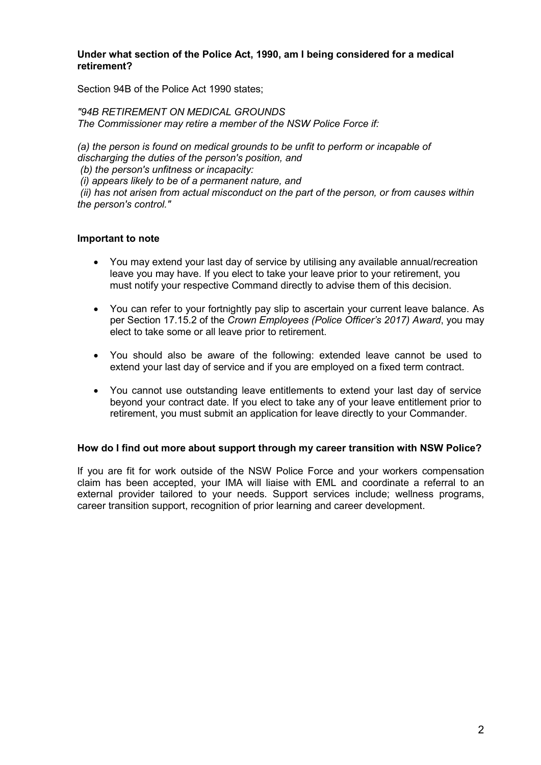### **Under what section of the Police Act, 1990, am I being considered for a medical retirement?**

Section 94B of the Police Act 1990 states;

*"94B RETIREMENT ON MEDICAL GROUNDS The Commissioner may retire a member of the NSW Police Force if:* 

*(a) the person is found on medical grounds to be unfit to perform or incapable of discharging the duties of the person's position, and* 

*(b) the person's unfitness or incapacity:*

*(i) appears likely to be of a permanent nature, and* 

*(ii) has not arisen from actual misconduct on the part of the person, or from causes within the person's control."*

# **Important to note**

- You may extend your last day of service by utilising any available annual/recreation leave you may have. If you elect to take your leave prior to your retirement, you must notify your respective Command directly to advise them of this decision.
- You can refer to your fortnightly pay slip to ascertain your current leave balance. As per Section 17.15.2 of the *Crown Employees (Police Officer's 2017) Award*, you may elect to take some or all leave prior to retirement.
- You should also be aware of the following: extended leave cannot be used to extend your last day of service and if you are employed on a fixed term contract.
- You cannot use outstanding leave entitlements to extend your last day of service beyond your contract date. If you elect to take any of your leave entitlement prior to retirement, you must submit an application for leave directly to your Commander.

## **How do I find out more about support through my career transition with NSW Police?**

If you are fit for work outside of the NSW Police Force and your workers compensation claim has been accepted, your IMA will liaise with EML and coordinate a referral to an external provider tailored to your needs. Support services include: wellness programs, career transition support, recognition of prior learning and career development.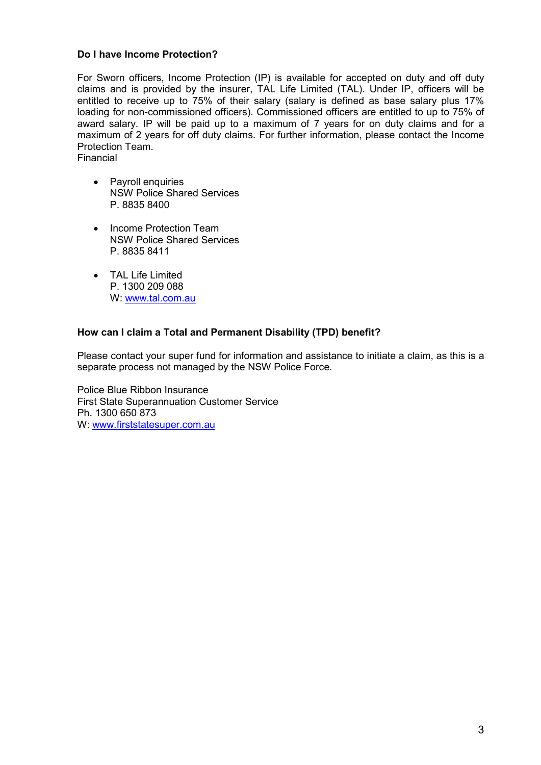## **Do I have Income Protection?**

For Sworn officers, Income Protection (IP) is available for accepted on duty and off duty claims and is provided by the insurer, TAL Life Limited (TAL). Under IP, officers will be entitled to receive up to 75% of their salary (salary is defined as base salary plus 17% loading for non-commissioned officers). Commissioned officers are entitled to up to 75% of award salary. IP will be paid up to a maximum of 7 years for on duty claims and for a maximum of 2 years for off duty claims. For further information, please contact the Income Protection Team. Financial

- Payroll enquiries NSW Police Shared Services P. 8835 8400
- Income Protection Team NSW Police Shared Services P. 8835 8411
- TAL Life Limited P. 1300 209 088 W: [www.tal.com.au](http://www.tal.com.au/)

## **How can I claim a Total and Permanent Disability (TPD) benefit?**

Please contact your super fund for information and assistance to initiate a claim, as this is a separate process not managed by the NSW Police Force.

Police Blue Ribbon Insurance First State Superannuation Customer Service Ph. 1300 650 873 W: [www.firststatesuper.com.au](http://www.firststatesuper.com.au/)